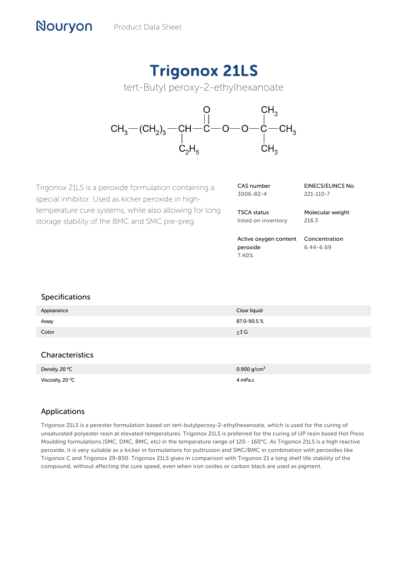# Trigonox 21LS

tert-Butyl peroxy-2-ethylhexanoate



Trigonox 21LS is a peroxide formulation containing a special inhibitor. Used as kicker peroxide in hightemperature cure systems, while also allowing for long storage stability of the BMC and SMC pre-preg.

| CAS number | EINECS/ELINCS No. |
|------------|-------------------|
| 3006-82-4  | 221-110-7         |
|            |                   |

TSCA status listed on inventory Molecular weight 216.3

Active oxygen content Concentration peroxide 7.40% 6.44-6.69

#### Specifications

Nouryon

| Appearance | Clear liquid |
|------------|--------------|
| Assay      | 87.0-90.5%   |
| Color      | $\leq 3$ G   |
|            |              |

### Characteristics

| Density, 20 °C   | 0.900 $q/cm^3$ |
|------------------|----------------|
| Viscosity, 20 °C | 4 mPa.s        |

## Applications

Trigonox 21LS is a perester formulation based on tert-butylperoxy-2-ethylhexanoate, which is used for the curing of unsaturated polyester resin at elevated temperatures. Trigonox 21LS is preferred for the curing of UP resin based Hot Press Moulding formulations (SMC, DMC, BMC, etc) in the temperature range of 120 - 160°C. As Trigonox 21LS is a high reactive peroxide, it is very suitable as a kicker in formulations for pultrusion and SMC/BMC in combination with peroxides like Trigonox C and Trigonox 29-B50. Trigonox 21LS gives in comparison with Trigonox 21 a long shelf life stability of the compound, without affecting the cure speed, even when iron oxides or carbon black are used as pigment.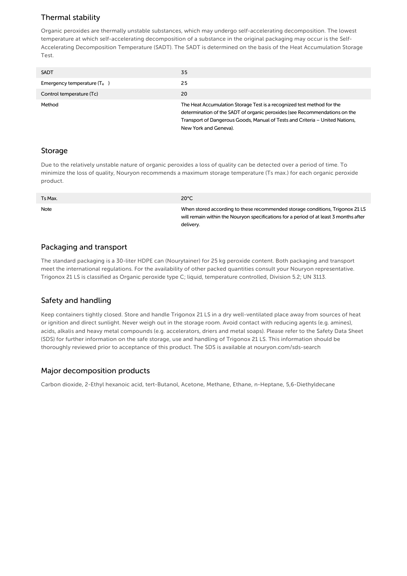## Thermal stability

Organic peroxides are thermally unstable substances, which may undergo self-accelerating decomposition. The lowest temperature at which self-accelerating decomposition of a substance in the original packaging may occur is the Self-Accelerating Decomposition Temperature (SADT). The SADT is determined on the basis of the Heat Accumulation Storage Test.

| <b>SADT</b>                   | 35                                                                                                                                                                                                                                                            |
|-------------------------------|---------------------------------------------------------------------------------------------------------------------------------------------------------------------------------------------------------------------------------------------------------------|
| Emergency temperature $(T_e)$ | 25                                                                                                                                                                                                                                                            |
| Control temperature (Tc)      | 20                                                                                                                                                                                                                                                            |
| Method                        | The Heat Accumulation Storage Test is a recognized test method for the<br>determination of the SADT of organic peroxides (see Recommendations on the<br>Transport of Dangerous Goods, Manual of Tests and Criteria – United Nations,<br>New York and Geneva). |

#### Storage

Due to the relatively unstable nature of organic peroxides a loss of quality can be detected over a period of time. To minimize the loss of quality, Nouryon recommends a maximum storage temperature (Ts max.) for each organic peroxide product.

| Ts Max. | $20^{\circ}$ C                                                                                                                                                                      |
|---------|-------------------------------------------------------------------------------------------------------------------------------------------------------------------------------------|
| Note    | When stored according to these recommended storage conditions, Trigonox 21 LS<br>will remain within the Nouryon specifications for a period of at least 3 months after<br>delivery. |

#### Packaging and transport

The standard packaging is a 30-liter HDPE can (Nourytainer) for 25 kg peroxide content. Both packaging and transport meet the international regulations. For the availability of other packed quantities consult your Nouryon representative. Trigonox 21 LS is classified as Organic peroxide type C; liquid, temperature controlled, Division 5.2; UN 3113.

#### Safety and handling

Keep containers tightly closed. Store and handle Trigonox 21 LS in a dry well-ventilated place away from sources of heat or ignition and direct sunlight. Never weigh out in the storage room. Avoid contact with reducing agents (e.g. amines), acids, alkalis and heavy metal compounds (e.g. accelerators, driers and metal soaps). Please refer to the Safety Data Sheet (SDS) for further information on the safe storage, use and handling of Trigonox 21 LS. This information should be thoroughly reviewed prior to acceptance of this product. The SDS is available at nouryon.com/sds-search

#### Major decomposition products

Carbon dioxide, 2-Ethyl hexanoic acid, tert-Butanol, Acetone, Methane, Ethane, n-Heptane, 5,6-Diethyldecane